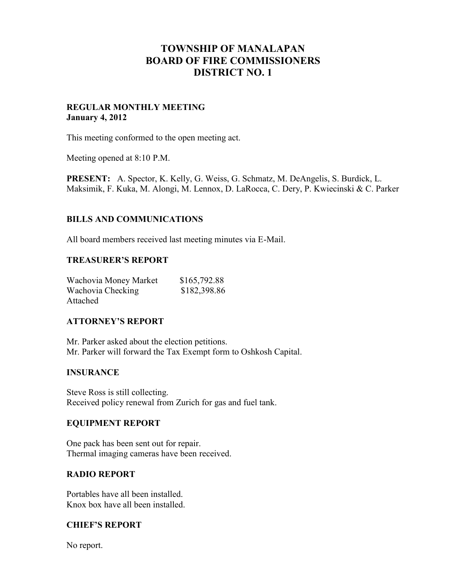# **TOWNSHIP OF MANALAPAN BOARD OF FIRE COMMISSIONERS DISTRICT NO. 1**

### **REGULAR MONTHLY MEETING January 4, 2012**

This meeting conformed to the open meeting act.

Meeting opened at 8:10 P.M.

**PRESENT:** A. Spector, K. Kelly, G. Weiss, G. Schmatz, M. DeAngelis, S. Burdick, L. Maksimik, F. Kuka, M. Alongi, M. Lennox, D. LaRocca, C. Dery, P. Kwiecinski & C. Parker

## **BILLS AND COMMUNICATIONS**

All board members received last meeting minutes via E-Mail.

#### **TREASURER'S REPORT**

| Wachovia Money Market | \$165,792.88 |
|-----------------------|--------------|
| Wachovia Checking     | \$182,398.86 |
| Attached              |              |

#### **ATTORNEY'S REPORT**

Mr. Parker asked about the election petitions. Mr. Parker will forward the Tax Exempt form to Oshkosh Capital.

## **INSURANCE**

Steve Ross is still collecting. Received policy renewal from Zurich for gas and fuel tank.

#### **EQUIPMENT REPORT**

One pack has been sent out for repair. Thermal imaging cameras have been received.

#### **RADIO REPORT**

Portables have all been installed. Knox box have all been installed.

#### **CHIEF'S REPORT**

No report.